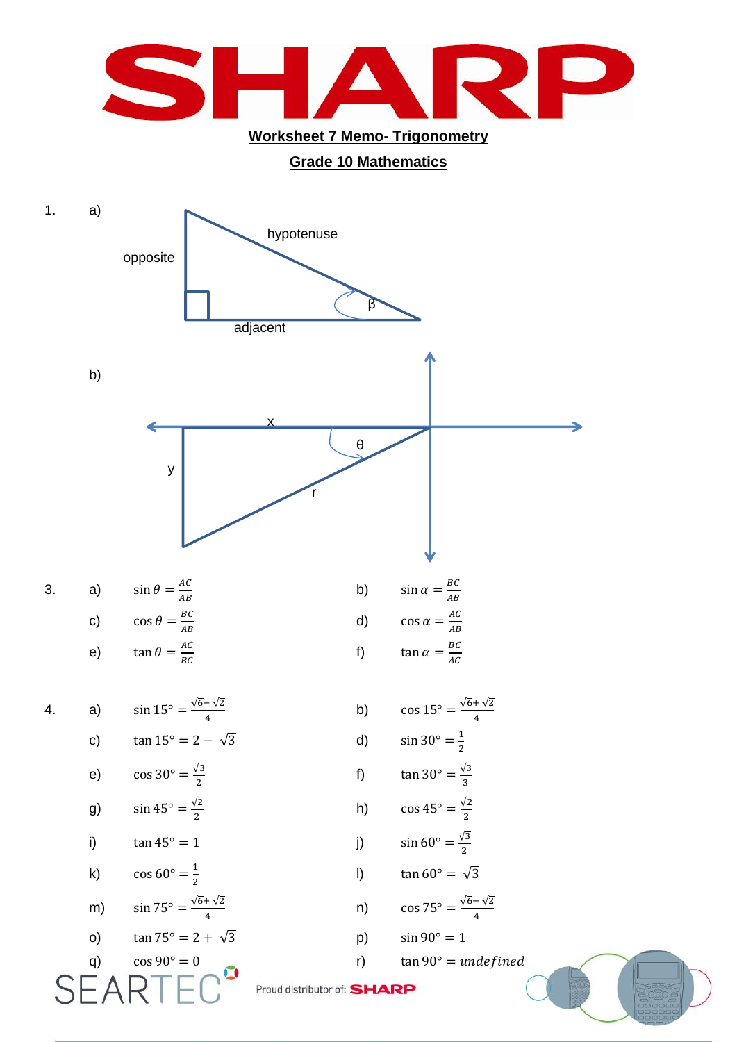

**Grade 10 Mathematics**

## 1. a) hypotenuse opposite β adjacent b) x θ y r 3. a)  $\sin \theta = \frac{A}{A}$  $\overline{A}$ b) B  $\boldsymbol{A}$ c)  $\cos \theta = \frac{B}{4}$  $\overline{A}$ d)  $\overline{A}$  $\overline{A}$ e)  $\tan \theta = \frac{A}{R}$ B f) B  $\overline{A}$ 4. a)  $\sqrt{6} - \sqrt{2}$ 4 b)  $\sqrt{6} + \sqrt{2}$  $\overline{\mathbf{r}}$ c)  $tan 15^\circ = 2 - \sqrt{3}$  d)  $\mathbf{1}$  $\overline{\mathbf{c}}$ e)  $\cos 30^{\circ} = \frac{\sqrt{3}}{2}$  $\overline{\mathbf{c}}$ f)  $\tan 30^\circ = \frac{\sqrt{3}}{2}$ 3 g)  $\sin 45^\circ = \frac{\sqrt{2}}{2}$  $\overline{\mathbf{c}}$ h)  $\cos 45^\circ = \frac{\sqrt{2}}{2}$  $\overline{\mathbf{c}}$ i)  $\tan 45^\circ = 1$  j)  $\sqrt{3}$  $\overline{\mathbf{c}}$ k)  $\cos 60^\circ = \frac{1}{2}$  $\overline{\mathbf{c}}$ l)  $\tan 60^{\circ} = \sqrt{3}$ m)  $\sin 75^\circ = \frac{\sqrt{6} + \sqrt{2}}{4}$ 4 n)  $\sqrt{6} - \sqrt{2}$ 4

o)  $tan 75^\circ = 2 + \sqrt{3}$  p)  $sin 90^\circ = 1$ 

q)  $\cos 90^\circ = 0$  (cos  $90^\circ = 0$  (cos  $90^\circ = 0$ ) (cos  $90^\circ = 0$ ) (cos  $90^\circ = 0$ ) (cos  $90^\circ = 0$ ) (cos  $90^\circ = 0$ ) (cos  $90^\circ = 0$ ) (cos  $90^\circ = 0$ ) (cos  $90^\circ = 0$ ) (cos  $90^\circ = 0$ ) (cos  $90^\circ = 0$ ) (cos  $90^\circ = 0$ ) (cos  $90^\circ = 0$ 

Proud distributor of: SHARP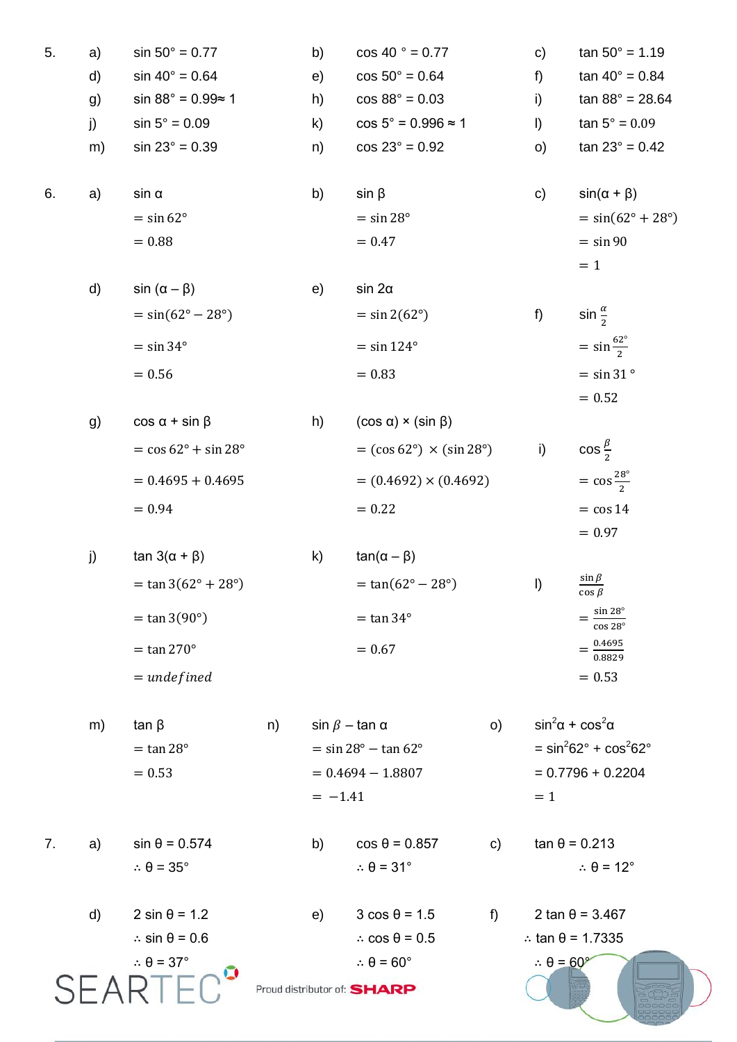| 5. | a)           | $sin 50^{\circ} = 0.77$                    |    | b)                  | $\cos 40$ ° = 0.77                        |                     | $\mathbf{c}$                     | $tan 50^\circ = 1.19$                                 |
|----|--------------|--------------------------------------------|----|---------------------|-------------------------------------------|---------------------|----------------------------------|-------------------------------------------------------|
|    | d)           | $sin 40^{\circ} = 0.64$                    |    | e)                  | $cos 50^\circ = 0.64$                     |                     | f)                               | $tan 40^{\circ} = 0.84$                               |
|    | g)           | sin $88^\circ$ = 0.99≈ 1                   |    | h)                  | $\cos 88^\circ = 0.03$                    |                     | i)                               | $tan 88^\circ = 28.64$                                |
|    | j)           | $sin 5^\circ = 0.09$                       |    | $\mathsf{k}$        | $\cos 5^\circ = 0.996 \approx 1$          |                     | $\vert$                          | $tan 5^\circ = 0.09$                                  |
|    | m)           | $sin 23^\circ = 0.39$                      |    | n)                  | $cos 23^\circ = 0.92$                     |                     | O)                               | $tan 23^\circ = 0.42$                                 |
|    |              |                                            |    |                     |                                           |                     |                                  |                                                       |
| 6. | a)           | $sin \alpha$                               |    | b)                  | $sin \beta$                               |                     | $\mathsf{c}$                     | $sin(\alpha + \beta)$                                 |
|    |              | $=$ sin 62 $^{\circ}$                      |    |                     | $=$ sin 28 $^{\circ}$                     |                     |                                  | $= sin(62^{\circ} + 28^{\circ})$                      |
|    |              | $= 0.88$                                   |    |                     | $= 0.47$                                  |                     |                                  | $=$ sin 90                                            |
|    |              |                                            |    |                     |                                           |                     |                                  | $= 1$                                                 |
|    | d)           | $sin(\alpha - \beta)$                      |    | e)                  | $sin 2\alpha$                             |                     |                                  |                                                       |
|    |              | $= sin(62^{\circ} - 28^{\circ})$           |    |                     | $=$ sin 2(62°)                            |                     | f)                               | sin $\frac{\alpha}{2}$                                |
|    |              | $=$ sin 34 $^{\circ}$                      |    |                     | $=$ sin 124 $^{\circ}$                    |                     |                                  | $=$ sin $\frac{62^{\circ}}{2}$                        |
|    |              | $= 0.56$                                   |    |                     | $= 0.83$                                  |                     |                                  | $=$ sin 31 $\degree$                                  |
|    |              |                                            |    |                     |                                           |                     |                                  | $= 0.52$                                              |
|    | g)           | $\cos \alpha + \sin \beta$                 |    | h)                  | $(cos \alpha) \times (sin \beta)$         |                     |                                  |                                                       |
|    |              | $=$ cos 62 $\degree$ + sin 28 $\degree$    |    |                     | $=$ (cos 62°) $\times$ (sin 28°)          |                     | i)                               | $\cos\frac{\beta}{2}$                                 |
|    |              | $= 0.4695 + 0.4695$                        |    |                     | $= (0.4692) \times (0.4692)$              |                     |                                  | $=$ cos $\frac{28^{\circ}}{2}$                        |
|    |              | $= 0.94$                                   |    |                     | $= 0.22$                                  |                     |                                  | $=$ cos 14                                            |
|    |              |                                            |    |                     |                                           |                     |                                  | $= 0.97$                                              |
|    | j)           | tan $3(α + β)$                             |    | k)                  | $tan(\alpha - \beta)$                     |                     |                                  |                                                       |
|    |              | $=$ tan 3(62° + 28°)                       |    |                     | $= tan(62^{\circ} - 28^{\circ})$          |                     | $\vert$                          | $\frac{\sin \beta}{\beta}$<br>$\overline{\cos \beta}$ |
|    |              | $=$ tan 3(90 $^{\circ}$ )                  |    |                     | $=$ tan 34 $^{\circ}$                     |                     |                                  | $\sin 28^\circ$<br>$\overline{\cos 28^\circ}$         |
|    |              | $=$ tan 270 $^{\circ}$                     |    |                     | $= 0.67$                                  |                     |                                  | $=\frac{0.4695}{0.8829}$                              |
|    |              | $=$ undefined                              |    |                     |                                           |                     |                                  | $= 0.53$                                              |
|    |              |                                            |    |                     |                                           |                     |                                  |                                                       |
|    | m)           | $tan \beta$                                | n) |                     | $\sin \beta - \tan \alpha$                | O                   |                                  | $\sin^2\!\alpha + \cos^2\!\alpha$                     |
|    |              | $=$ tan 28 $^{\circ}$                      |    |                     | $=$ sin 28 $^{\circ}$ - tan 62 $^{\circ}$ |                     |                                  | $=$ sin <sup>2</sup> 62° + cos <sup>2</sup> 62°       |
|    |              | $= 0.53$                                   |    | $= 0.4694 - 1.8807$ |                                           | $= 0.7796 + 0.2204$ |                                  |                                                       |
|    |              |                                            |    | $= -1.41$           |                                           |                     | $=1$                             |                                                       |
| 7. | a)           | $sin \theta = 0.574$                       |    | b)                  | $cos \theta = 0.857$                      | $\mathbf{C}$        |                                  | $tan \theta = 0.213$                                  |
|    |              | $\therefore \theta = 35^{\circ}$           |    |                     | $\therefore \theta = 31^{\circ}$          |                     |                                  | $\therefore \theta = 12^{\circ}$                      |
|    |              |                                            |    |                     |                                           |                     |                                  |                                                       |
|    | $\mathsf{d}$ | $2 \sin \theta = 1.2$                      |    | e)                  | $3 \cos \theta = 1.5$                     | $f$ )               |                                  | $2 \tan \theta = 3.467$                               |
|    |              | $\therefore$ sin $\theta$ = 0.6            |    |                     | $\therefore$ cos $\theta$ = 0.5           |                     |                                  | $\therefore$ tan $\theta$ = 1.7335                    |
|    |              | $\therefore \theta = 37^{\circ}$<br>$\Box$ |    |                     | $\therefore \theta = 60^{\circ}$          |                     | $\therefore \theta = 60^{\circ}$ |                                                       |
|    |              |                                            |    |                     | Proud distributor of: SHARP               |                     |                                  |                                                       |
|    |              |                                            |    |                     |                                           |                     |                                  |                                                       |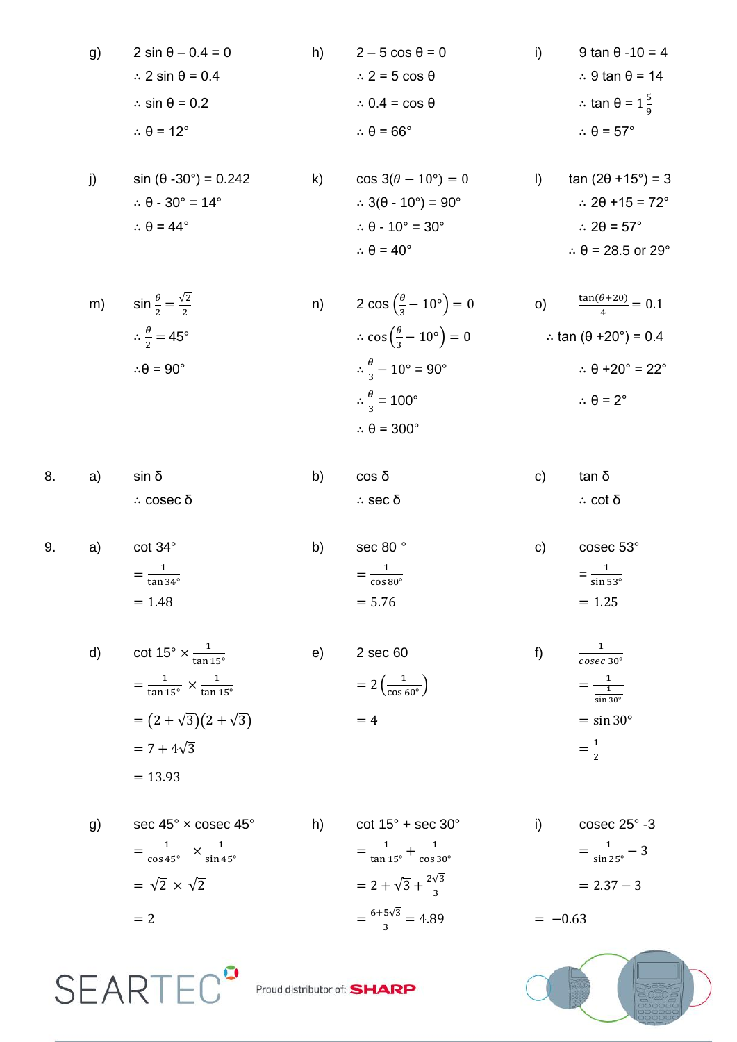g) 
$$
2 \sin \theta - 0.4 = 0
$$
  
\n $\therefore 2 \sin \theta = 0.4$   
\n $\therefore \sin \theta = 0.2$   
\n $\therefore \theta = 12^{\circ}$   
\nh)  $2 - 5 \cos \theta = 0$   
\n $\therefore 2 = 5 \cos \theta$   
\n $\therefore 0.4 = \cos \theta$   
\n $\therefore \theta = 66^{\circ}$   
\ni)  $9 \tan \theta - 10 = 4$   
\n $\therefore 9 \tan \theta = 14$   
\n $\therefore \theta = 57^{\circ}$ 

| $sin (\theta - 30^{\circ}) = 0.242$           | $\cos 3(\theta - 10^{\circ}) = 0$                        | $tan(2\theta + 15^{\circ}) = 3$      |
|-----------------------------------------------|----------------------------------------------------------|--------------------------------------|
| $\therefore \theta - 30^{\circ} = 14^{\circ}$ | $\therefore$ 3( $\theta$ - 10 $\degree$ ) = 90 $\degree$ | $\therefore$ 20 + 15 = 72 $^{\circ}$ |
| $\therefore \theta = 44^{\circ}$              | $\therefore \theta - 10^{\circ} = 30^{\circ}$            | $\therefore$ 20 = 57°                |
|                                               | $\therefore \theta = 40^{\circ}$                         | $\therefore \theta = 28.5$ or 29°    |

| m) | $\sin \frac{\theta}{2} = \frac{\sqrt{2}}{2}$ | n) | 2 cos $\left(\frac{\theta}{2} - 10^{\circ}\right) = 0$          | $\frac{\tan(\theta + 20)}{4} = 0.1$<br>$\circ$ ) |
|----|----------------------------------------------|----|-----------------------------------------------------------------|--------------------------------------------------|
|    | $\therefore \frac{\theta}{2} = 45^{\circ}$   |    | $\therefore \cos\left(\frac{\theta}{2} - 10^{\circ}\right) = 0$ | ∴ tan $(\theta + 20^{\circ}) = 0.4$              |
|    | $\therefore \theta = 90^{\circ}$             |    | $\therefore \frac{\theta}{2} - 10^{\circ} = 90^{\circ}$         | $\therefore \theta + 20^{\circ} = 22^{\circ}$    |
|    |                                              |    | $\therefore \frac{\theta}{2} = 100^{\circ}$                     | $\therefore \theta = 2^{\circ}$                  |
|    |                                              |    | $\therefore \theta = 300^{\circ}$                               |                                                  |

|  | 8. a) $\sin \delta$ | b) $\cos \delta$ | c) tan δ |         |
|--|---------------------|------------------|----------|---------|
|  | ∴ cosec δ           | ∴ sec δ          |          | ∴ cot δ |

| 9. | a) | $cot 34^\circ$            | sec 80°<br>b)              | C) | cosec 53°                  |
|----|----|---------------------------|----------------------------|----|----------------------------|
|    |    | $=$ $-$<br>$tan 34^\circ$ | $=$ $-$<br>$\cos 80^\circ$ |    | $=\frac{1}{\sin 53^\circ}$ |
|    |    | $= 1.48$                  | $= 5.76$                   |    | $= 1.25$                   |

d) 
$$
\cot 15^\circ \times \frac{1}{\tan 15^\circ}
$$
 e)  $2 \sec 60$  f)  $\frac{1}{\csc 30^\circ}$   
\n $= \frac{1}{\tan 15^\circ} \times \frac{1}{\tan 15^\circ}$  e)  $2 \sec 60$  f)  $\frac{1}{\csc 30^\circ}$   
\n $= 2(\frac{1}{\cos 60^\circ})$   $= \frac{1}{\frac{1}{\sin 30^\circ}}$   
\n $= 7 + 4\sqrt{3}$   
\n $= 13.93$ 

 $=\frac{1}{\sqrt{2}}$ 

 $6+5\sqrt{3}$  $\frac{348}{3}$ 

 $\frac{1}{\tan 15^\circ} + \frac{1}{\cos 1}$  $\mathbf{C}$ 

> $2\sqrt{3}$ 3

g) sec 45° × cosec 45° h) cot 15° + sec 30° i) cosec 25° -3  $=\frac{1}{\sqrt{2}}$  $\frac{1}{\cos 45^\circ} \times \frac{1}{\sin 4}$  $=\sqrt{2} \times \sqrt{2}$  $= 2$ 

**SEARTEC<sup>°</sup>** 

s

 $= 2.37 - 3$ 

 $=\frac{1}{\sin \frac{1}{2}}$  $\frac{1}{\sin 25^\circ}$  –

 $=-0.63$ 

Proud distributor of: **SHARP**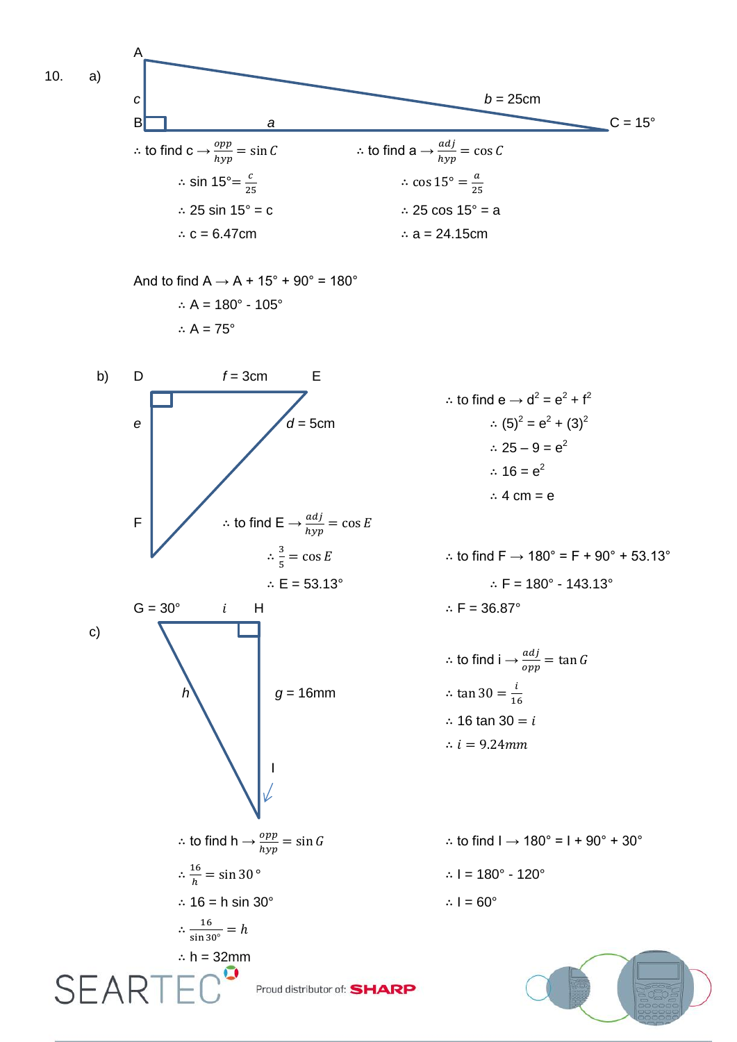10. a)

A



And to find  $A \rightarrow A + 15^\circ + 90^\circ = 180^\circ$ ∴ A = 180° - 105° ∴  $A = 75^\circ$ 



 $\therefore$  to find  $e \rightarrow d^2 = e^2 + f^2$  $= e^2 + (3)^2$ ∴ 25 – 9 =  $e^2$ ∴  $16 = e^2$ ∴ 4 cm = e

∴ to find  $F \to 180^\circ = F + 90^\circ + 53.13^\circ$ ∴ E = 53.13°  $\therefore$  F = 180° - 143.13°

> ∴ to find i  $\rightarrow \frac{a a f}{opp}$  = i  $\mathbf{1}$ ∴ 16 tan 30 =  $i$ ∴  $i = 9.24mm$

∴ to find  $I \rightarrow 180^\circ = I + 90^\circ + 30^\circ$ ∴ I =  $180^\circ$  -  $120^\circ$ 

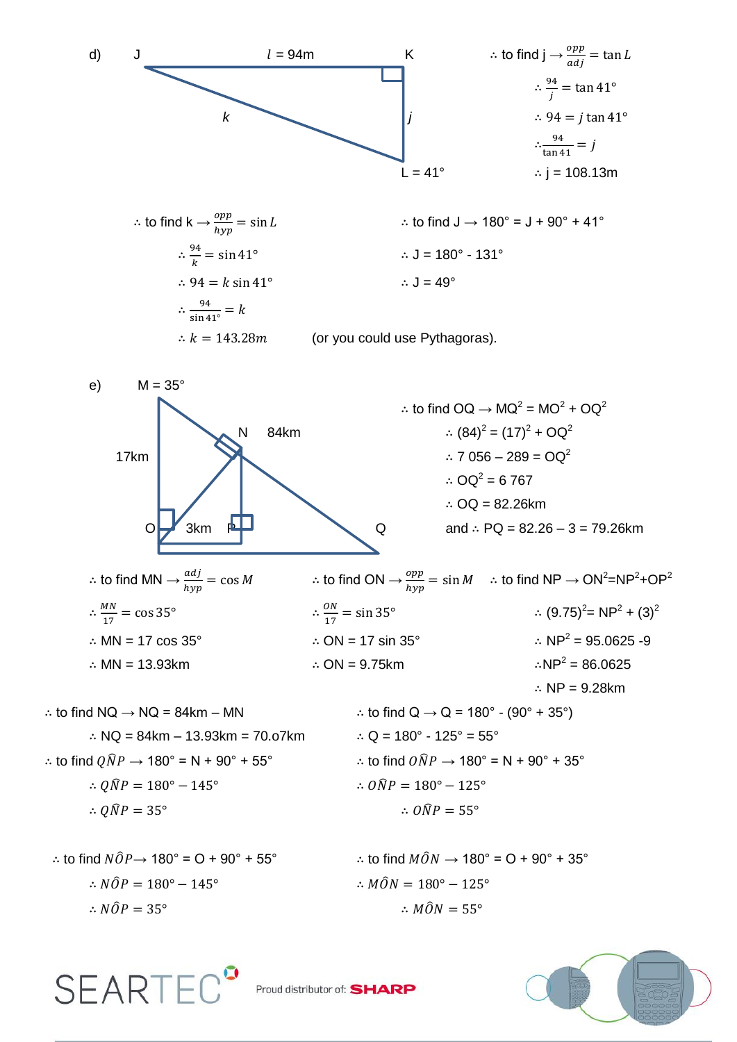d) 
$$
\frac{1}{\frac{3}{2}} = 94m
$$
  
\n $\frac{1}{2} = 94m$   
\n $\frac{1}{2} = \tan 41^\circ$   
\n $\frac{94}{\frac{1}{2}} = \tan 41^\circ$   
\n $\frac{94}{\frac{1}{2}} = \sin 41^\circ$   
\n $\therefore \frac{94}{\frac{1}{2}} = \sin 41^\circ$   
\n $\therefore \frac{94}{\frac{1}{2}} = \sin 41^\circ$   
\n $\therefore \frac{94}{\frac{1}{2}} = \sin 41^\circ$   
\n $\therefore \frac{94}{\frac{1}{2}} = \sin 41^\circ$   
\n $\therefore \frac{94}{\frac{1}{2}} = \sin 41^\circ$   
\n $\therefore \frac{1}{2} = 180^\circ - 131^\circ$   
\n $\therefore \frac{1}{8} = 143.28m$  (or you could use Pythagoras).  
\ne)  $M = 35^\circ$   
\n $M = 35^\circ$   
\n $\therefore$  to find  $OA \rightarrow MO^2 = MO^2 + OQ^2$   
\n $\therefore$   $OA^2 = MO^2 + OQ^2$   
\n $\therefore$   $OA^2 = 6767$   
\n $\therefore$   $OA^2 = 6767$   
\n $\therefore$   $OA^2 = 6767$   
\n $\therefore$   $OA^2 = 6767$   
\n $\therefore$   $OA^2 = 6767$   
\n $\therefore$   $OA^2 = 6767$   
\n $\therefore$   $OA^2 = 6767$   
\n $\therefore$   $OA^2 = 6767$   
\n $\therefore$   $OA^2 = 6767$   
\n $\therefore$   $OA^2 = 6767$   
\n $\therefore$   $OA^2 = 6767$   
\n $\therefore$   $OA^2 = 6767$   
\n<

SEARTEC<sup>9</sup> Proud distributor of: SHARP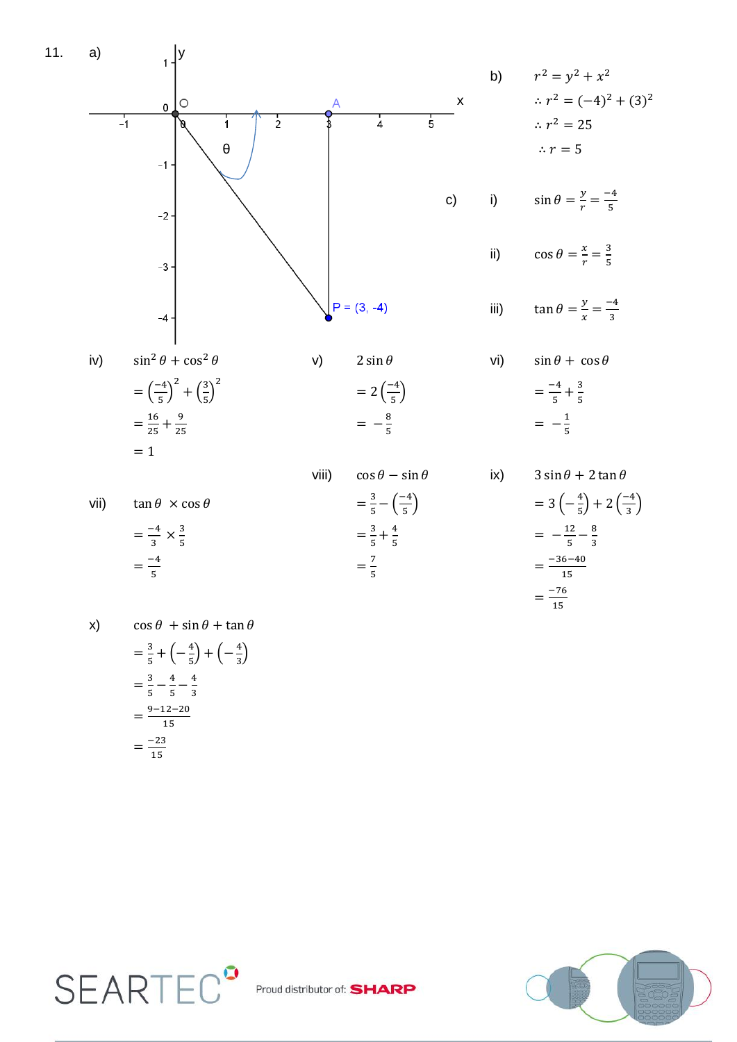

 $=\frac{7}{5}$ 

$$
\frac{3}{5} = \frac{-4}{5}
$$

X)

$$
\cos \theta + \sin \theta + \tan \theta
$$
  
=  $\frac{3}{5} + \left(-\frac{4}{5}\right) + \left(-\frac{4}{3}\right)$   
=  $\frac{3}{5} - \frac{4}{5} - \frac{4}{3}$   
=  $\frac{9 - 12 - 20}{15}$   
=  $\frac{-23}{15}$ 

 $=\frac{-36-40}{15}$ 

 $=\frac{-76}{15}$ 

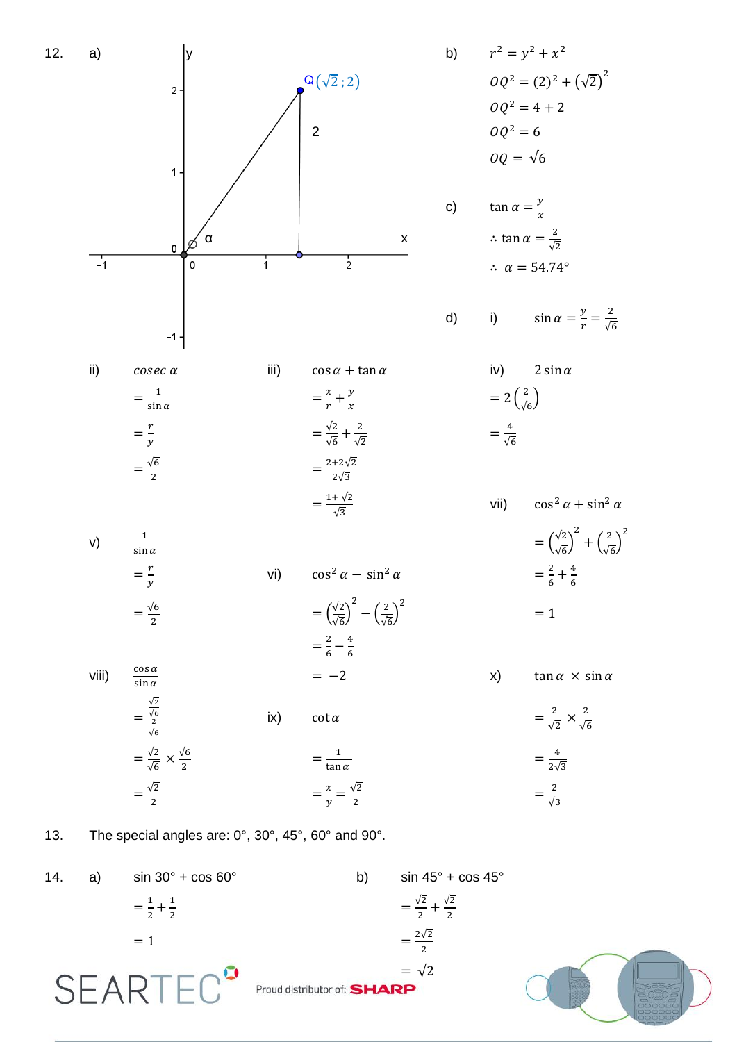

13. The special angles are: 0°, 30°, 45°, 60° and 90°.

14. a)  $\sin 30^\circ + \cos 60^\circ$  b)  $\sin 45^\circ + \cos 45^\circ$  $=\frac{1}{2}$  $\frac{1}{2} + \frac{1}{2}$  $=\frac{\sqrt{2}}{2}$  $\frac{\sqrt{2}}{2} + \frac{\sqrt{2}}{2}$  $\overline{\mathbf{c}}$  $\overline{\mathbf{c}}$  $2\sqrt{2}$  $= 1$  $\overline{\mathbf{c}}$  $=\sqrt{2}$ **SFARTEC** Proud distributor of: SHARP